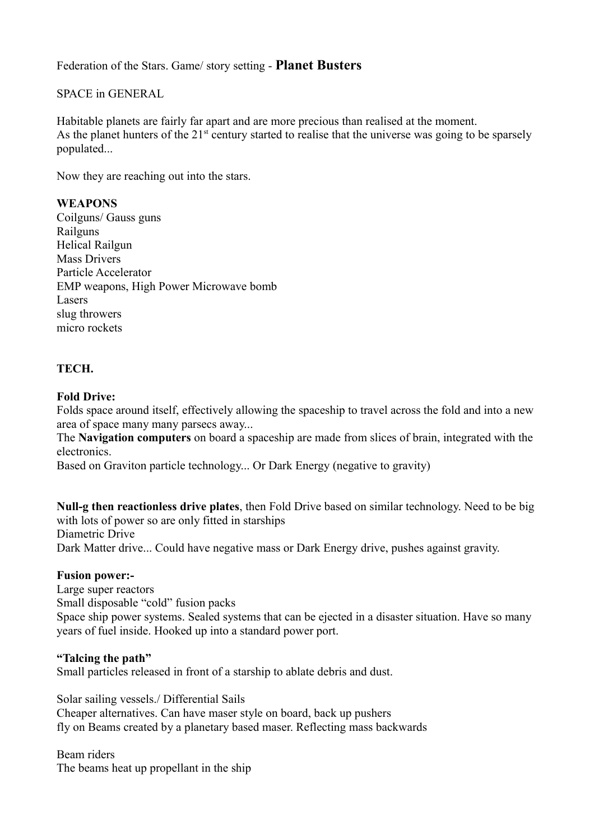Federation of the Stars. Game/ story setting - **Planet Busters**

### SPACE in GENERAL

Habitable planets are fairly far apart and are more precious than realised at the moment. As the planet hunters of the  $21<sup>st</sup>$  century started to realise that the universe was going to be sparsely populated...

Now they are reaching out into the stars.

### **WEAPONS**

Coilguns/ Gauss guns Railguns Helical Railgun Mass Drivers Particle Accelerator EMP weapons, High Power Microwave bomb Lasers slug throwers micro rockets

### **TECH.**

#### **Fold Drive:**

Folds space around itself, effectively allowing the spaceship to travel across the fold and into a new area of space many many parsecs away...

The **Navigation computers** on board a spaceship are made from slices of brain, integrated with the electronics.

Based on Graviton particle technology... Or Dark Energy (negative to gravity)

**Null-g then reactionless drive plates**, then Fold Drive based on similar technology. Need to be big with lots of power so are only fitted in starships Diametric Drive Dark Matter drive... Could have negative mass or Dark Energy drive, pushes against gravity.

#### **Fusion power:-**

Large super reactors Small disposable "cold" fusion packs Space ship power systems. Sealed systems that can be ejected in a disaster situation. Have so many years of fuel inside. Hooked up into a standard power port.

#### **"Talcing the path"**

Small particles released in front of a starship to ablate debris and dust.

Solar sailing vessels./ Differential Sails Cheaper alternatives. Can have maser style on board, back up pushers fly on Beams created by a planetary based maser. Reflecting mass backwards

Beam riders The beams heat up propellant in the ship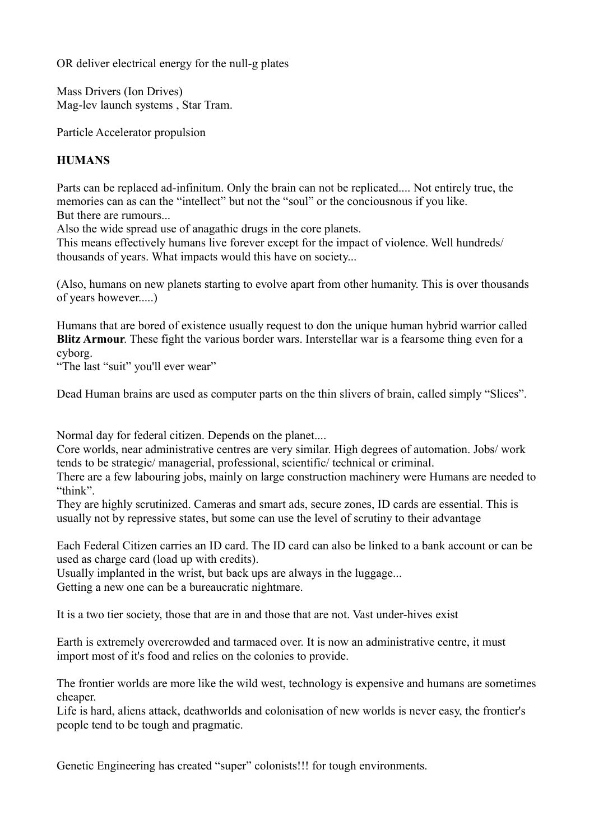OR deliver electrical energy for the null-g plates

Mass Drivers (Ion Drives) Mag-lev launch systems , Star Tram.

Particle Accelerator propulsion

# **HUMANS**

Parts can be replaced ad-infinitum. Only the brain can not be replicated.... Not entirely true, the memories can as can the "intellect" but not the "soul" or the conciousnous if you like. But there are rumours...

Also the wide spread use of anagathic drugs in the core planets.

This means effectively humans live forever except for the impact of violence. Well hundreds/ thousands of years. What impacts would this have on society...

(Also, humans on new planets starting to evolve apart from other humanity. This is over thousands of years however.....)

Humans that are bored of existence usually request to don the unique human hybrid warrior called **Blitz Armour**. These fight the various border wars. Interstellar war is a fearsome thing even for a cyborg.

"The last "suit" you'll ever wear"

Dead Human brains are used as computer parts on the thin slivers of brain, called simply "Slices".

Normal day for federal citizen. Depends on the planet....

Core worlds, near administrative centres are very similar. High degrees of automation. Jobs/ work tends to be strategic/ managerial, professional, scientific/ technical or criminal.

There are a few labouring jobs, mainly on large construction machinery were Humans are needed to "think".

They are highly scrutinized. Cameras and smart ads, secure zones, ID cards are essential. This is usually not by repressive states, but some can use the level of scrutiny to their advantage

Each Federal Citizen carries an ID card. The ID card can also be linked to a bank account or can be used as charge card (load up with credits).

Usually implanted in the wrist, but back ups are always in the luggage...

Getting a new one can be a bureaucratic nightmare.

It is a two tier society, those that are in and those that are not. Vast under-hives exist

Earth is extremely overcrowded and tarmaced over. It is now an administrative centre, it must import most of it's food and relies on the colonies to provide.

The frontier worlds are more like the wild west, technology is expensive and humans are sometimes cheaper.

Life is hard, aliens attack, deathworlds and colonisation of new worlds is never easy, the frontier's people tend to be tough and pragmatic.

Genetic Engineering has created "super" colonists!!! for tough environments.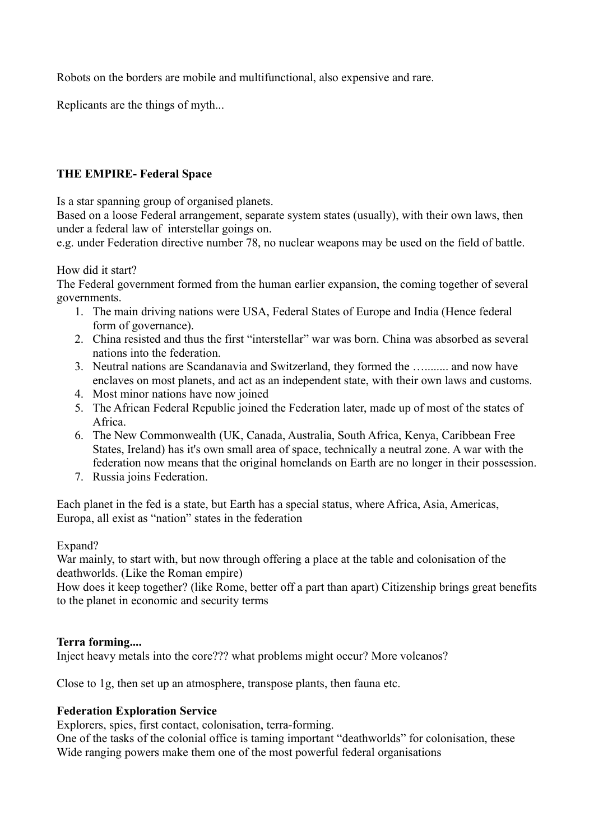Robots on the borders are mobile and multifunctional, also expensive and rare.

Replicants are the things of myth...

# **THE EMPIRE- Federal Space**

Is a star spanning group of organised planets.

Based on a loose Federal arrangement, separate system states (usually), with their own laws, then under a federal law of interstellar goings on.

e.g. under Federation directive number 78, no nuclear weapons may be used on the field of battle.

How did it start?

The Federal government formed from the human earlier expansion, the coming together of several governments.

- 1. The main driving nations were USA, Federal States of Europe and India (Hence federal form of governance).
- 2. China resisted and thus the first "interstellar" war was born. China was absorbed as several nations into the federation.
- 3. Neutral nations are Scandanavia and Switzerland, they formed the …........ and now have enclaves on most planets, and act as an independent state, with their own laws and customs.
- 4. Most minor nations have now joined
- 5. The African Federal Republic joined the Federation later, made up of most of the states of Africa.
- 6. The New Commonwealth (UK, Canada, Australia, South Africa, Kenya, Caribbean Free States, Ireland) has it's own small area of space, technically a neutral zone. A war with the federation now means that the original homelands on Earth are no longer in their possession.
- 7. Russia joins Federation.

Each planet in the fed is a state, but Earth has a special status, where Africa, Asia, Americas, Europa, all exist as "nation" states in the federation

### Expand?

War mainly, to start with, but now through offering a place at the table and colonisation of the deathworlds. (Like the Roman empire)

How does it keep together? (like Rome, better off a part than apart) Citizenship brings great benefits to the planet in economic and security terms

### **Terra forming....**

Inject heavy metals into the core??? what problems might occur? More volcanos?

Close to 1g, then set up an atmosphere, transpose plants, then fauna etc.

### **Federation Exploration Service**

Explorers, spies, first contact, colonisation, terra-forming.

One of the tasks of the colonial office is taming important "deathworlds" for colonisation, these Wide ranging powers make them one of the most powerful federal organisations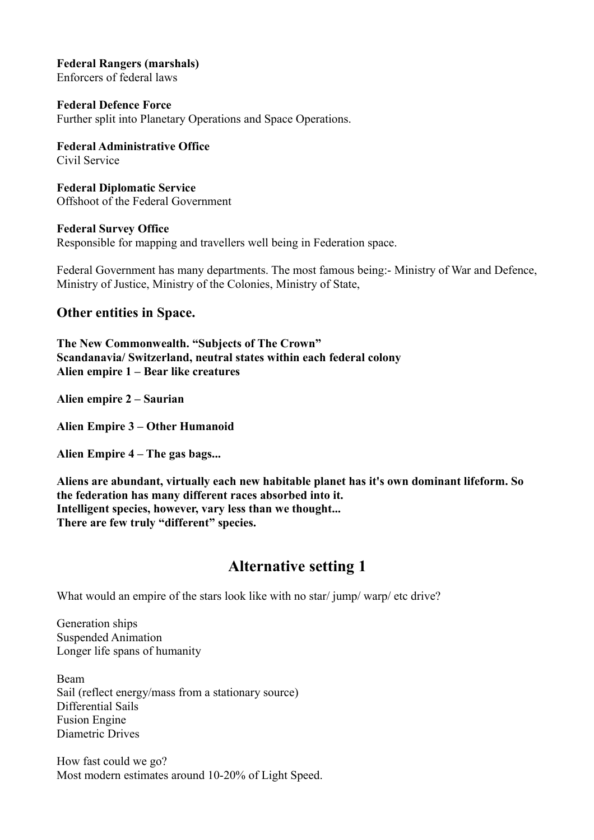**Federal Rangers (marshals)** Enforcers of federal laws

**Federal Defence Force** Further split into Planetary Operations and Space Operations.

**Federal Administrative Office** Civil Service

**Federal Diplomatic Service** Offshoot of the Federal Government

**Federal Survey Office** Responsible for mapping and travellers well being in Federation space.

Federal Government has many departments. The most famous being:- Ministry of War and Defence, Ministry of Justice, Ministry of the Colonies, Ministry of State,

## **Other entities in Space.**

**The New Commonwealth. "Subjects of The Crown" Scandanavia/ Switzerland, neutral states within each federal colony Alien empire 1 – Bear like creatures**

**Alien empire 2 – Saurian**

**Alien Empire 3 – Other Humanoid**

**Alien Empire 4 – The gas bags...**

**Aliens are abundant, virtually each new habitable planet has it's own dominant lifeform. So the federation has many different races absorbed into it. Intelligent species, however, vary less than we thought... There are few truly "different" species.**

# **Alternative setting 1**

What would an empire of the stars look like with no star/ jump/ warp/ etc drive?

Generation ships Suspended Animation Longer life spans of humanity

Beam Sail (reflect energy/mass from a stationary source) Differential Sails Fusion Engine Diametric Drives

How fast could we go? Most modern estimates around 10-20% of Light Speed.